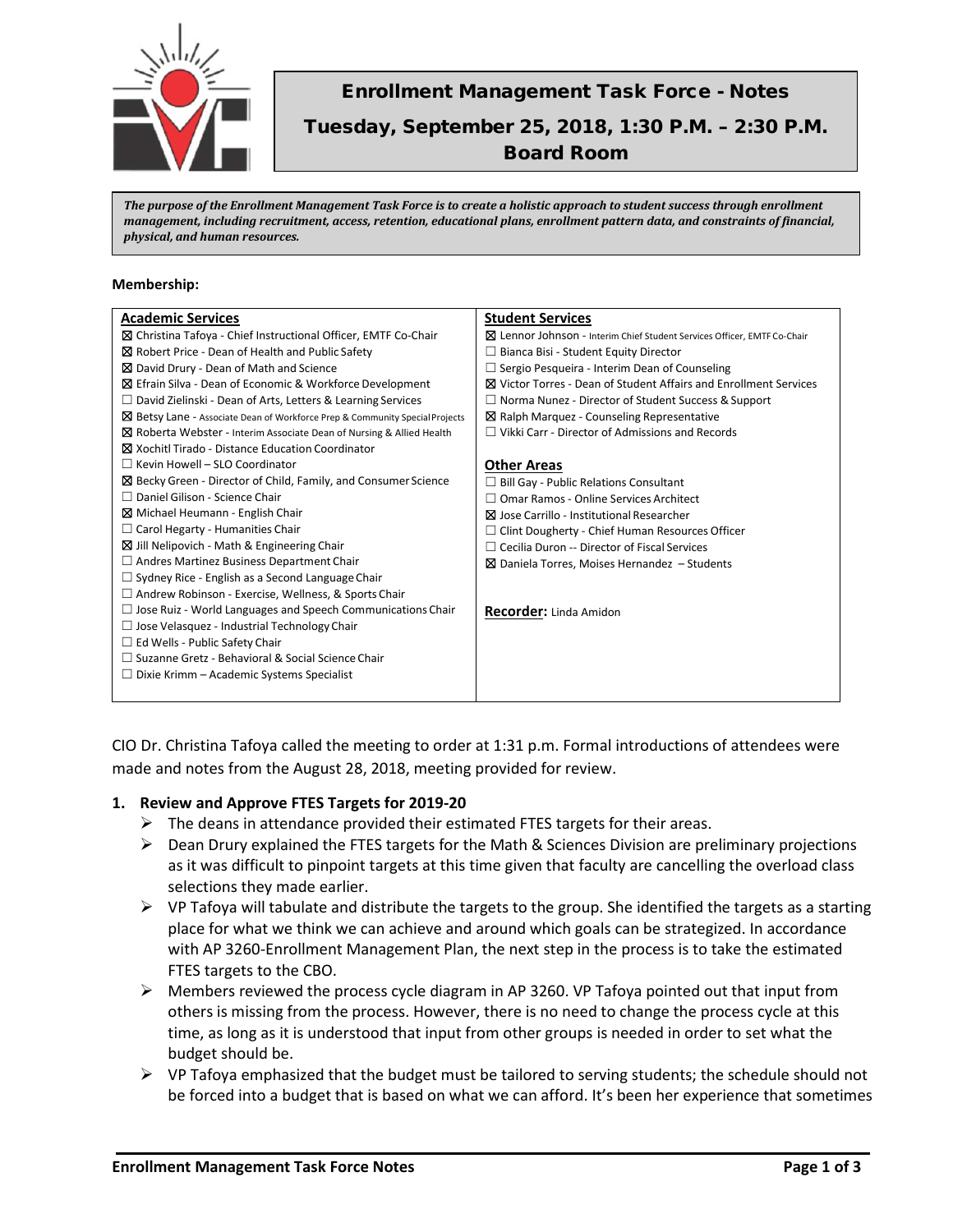

# Enrollment Management Task Force - Notes Tuesday, September 25, 2018, 1:30 P.M. – 2:30 P.M. Board Room

*The purpose of the Enrollment Management Task Force is to create a holistic approach to student success through enrollment management, including recruitment, access, retention, educational plans, enrollment pattern data, and constraints of financial, physical, and human resources.*

#### **Membership:**

| <b>Academic Services</b>                                                        | <b>Student Services</b>                                                  |
|---------------------------------------------------------------------------------|--------------------------------------------------------------------------|
| ⊠ Christina Tafoya - Chief Instructional Officer, EMTF Co-Chair                 | ⊠ Lennor Johnson - Interim Chief Student Services Officer, EMTF Co-Chair |
| ⊠ Robert Price - Dean of Health and Public Safety                               | $\Box$ Bianca Bisi - Student Equity Director                             |
| ⊠ David Drury - Dean of Math and Science                                        | $\Box$ Sergio Pesqueira - Interim Dean of Counseling                     |
| ⊠ Efrain Silva - Dean of Economic & Workforce Development                       | <b>⊠</b> Victor Torres - Dean of Student Affairs and Enrollment Services |
| $\Box$ David Zielinski - Dean of Arts, Letters & Learning Services              | $\Box$ Norma Nunez - Director of Student Success & Support               |
| ⊠ Betsy Lane - Associate Dean of Workforce Prep & Community Special Projects    | $\boxtimes$ Ralph Marquez - Counseling Representative                    |
| $\boxtimes$ Roberta Webster - Interim Associate Dean of Nursing & Allied Health | $\Box$ Vikki Carr - Director of Admissions and Records                   |
| ⊠ Xochitl Tirado - Distance Education Coordinator                               |                                                                          |
| $\Box$ Kevin Howell – SLO Coordinator                                           | <b>Other Areas</b>                                                       |
| ⊠ Becky Green - Director of Child, Family, and Consumer Science                 | $\Box$ Bill Gay - Public Relations Consultant                            |
| $\Box$ Daniel Gilison - Science Chair                                           | $\Box$ Omar Ramos - Online Services Architect                            |
| Michael Heumann - English Chair                                                 | ⊠ Jose Carrillo - Institutional Researcher                               |
| $\Box$ Carol Hegarty - Humanities Chair                                         | $\Box$ Clint Dougherty - Chief Human Resources Officer                   |
| ⊠ Jill Nelipovich - Math & Engineering Chair                                    | $\Box$ Cecilia Duron -- Director of Fiscal Services                      |
| $\Box$ Andres Martinez Business Department Chair                                | $\boxtimes$ Daniela Torres, Moises Hernandez - Students                  |
| $\Box$ Sydney Rice - English as a Second Language Chair                         |                                                                          |
| $\Box$ Andrew Robinson - Exercise, Wellness, & Sports Chair                     |                                                                          |
| $\Box$ Jose Ruiz - World Languages and Speech Communications Chair              | <b>Recorder:</b> Linda Amidon                                            |
| $\Box$ Jose Velasquez - Industrial Technology Chair                             |                                                                          |
| $\Box$ Ed Wells - Public Safety Chair                                           |                                                                          |
| □ Suzanne Gretz - Behavioral & Social Science Chair                             |                                                                          |
| $\Box$ Dixie Krimm – Academic Systems Specialist                                |                                                                          |
|                                                                                 |                                                                          |

CIO Dr. Christina Tafoya called the meeting to order at 1:31 p.m. Formal introductions of attendees were made and notes from the August 28, 2018, meeting provided for review.

### **1. Review and Approve FTES Targets for 2019-20**

- $\triangleright$  The deans in attendance provided their estimated FTES targets for their areas.
- $\triangleright$  Dean Drury explained the FTES targets for the Math & Sciences Division are preliminary projections as it was difficult to pinpoint targets at this time given that faculty are cancelling the overload class selections they made earlier.
- $\triangleright$  VP Tafoya will tabulate and distribute the targets to the group. She identified the targets as a starting place for what we think we can achieve and around which goals can be strategized. In accordance with AP 3260-Enrollment Management Plan, the next step in the process is to take the estimated FTES targets to the CBO.
- $\triangleright$  Members reviewed the process cycle diagram in AP 3260. VP Tafoya pointed out that input from others is missing from the process. However, there is no need to change the process cycle at this time, as long as it is understood that input from other groups is needed in order to set what the budget should be.
- $\triangleright$  VP Tafoya emphasized that the budget must be tailored to serving students; the schedule should not be forced into a budget that is based on what we can afford. It's been her experience that sometimes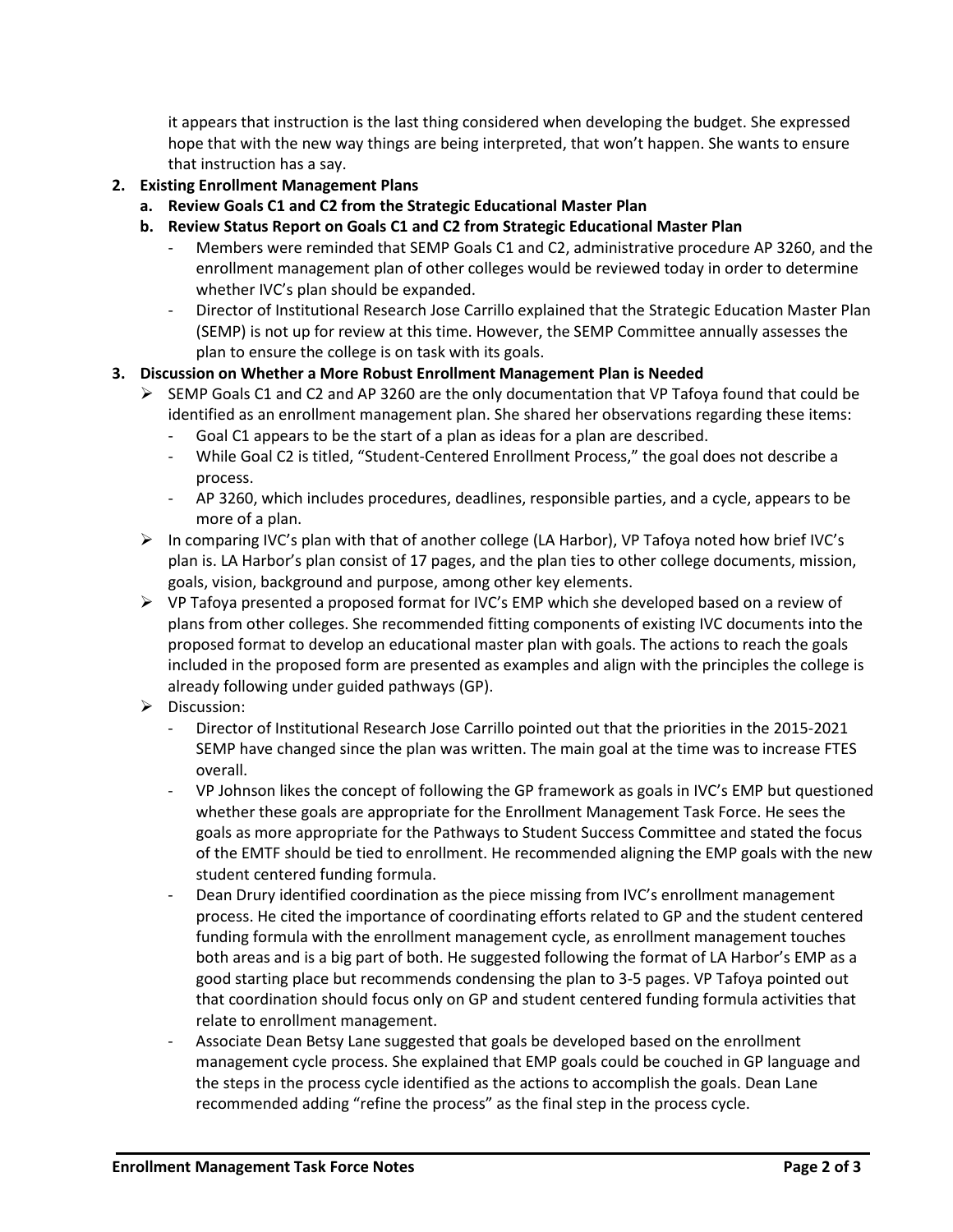it appears that instruction is the last thing considered when developing the budget. She expressed hope that with the new way things are being interpreted, that won't happen. She wants to ensure that instruction has a say.

- **2. Existing Enrollment Management Plans**
	- **a. Review Goals C1 and C2 from the Strategic Educational Master Plan**
	- **b. Review Status Report on Goals C1 and C2 from Strategic Educational Master Plan**
		- Members were reminded that SEMP Goals C1 and C2, administrative procedure AP 3260, and the enrollment management plan of other colleges would be reviewed today in order to determine whether IVC's plan should be expanded.
		- Director of Institutional Research Jose Carrillo explained that the Strategic Education Master Plan (SEMP) is not up for review at this time. However, the SEMP Committee annually assesses the plan to ensure the college is on task with its goals.
- **3. Discussion on Whether a More Robust Enrollment Management Plan is Needed**
	- $\triangleright$  SEMP Goals C1 and C2 and AP 3260 are the only documentation that VP Tafoya found that could be identified as an enrollment management plan. She shared her observations regarding these items:
		- Goal C1 appears to be the start of a plan as ideas for a plan are described.
		- While Goal C2 is titled, "Student-Centered Enrollment Process," the goal does not describe a process.
		- AP 3260, which includes procedures, deadlines, responsible parties, and a cycle, appears to be more of a plan.
	- In comparing IVC's plan with that of another college (LA Harbor), VP Tafoya noted how brief IVC's plan is. LA Harbor's plan consist of 17 pages, and the plan ties to other college documents, mission, goals, vision, background and purpose, among other key elements.
	- $\triangleright$  VP Tafoya presented a proposed format for IVC's EMP which she developed based on a review of plans from other colleges. She recommended fitting components of existing IVC documents into the proposed format to develop an educational master plan with goals. The actions to reach the goals included in the proposed form are presented as examples and align with the principles the college is already following under guided pathways (GP).
	- $\triangleright$  Discussion:
		- Director of Institutional Research Jose Carrillo pointed out that the priorities in the 2015-2021 SEMP have changed since the plan was written. The main goal at the time was to increase FTES overall.
		- VP Johnson likes the concept of following the GP framework as goals in IVC's EMP but questioned whether these goals are appropriate for the Enrollment Management Task Force. He sees the goals as more appropriate for the Pathways to Student Success Committee and stated the focus of the EMTF should be tied to enrollment. He recommended aligning the EMP goals with the new student centered funding formula.
		- Dean Drury identified coordination as the piece missing from IVC's enrollment management process. He cited the importance of coordinating efforts related to GP and the student centered funding formula with the enrollment management cycle, as enrollment management touches both areas and is a big part of both. He suggested following the format of LA Harbor's EMP as a good starting place but recommends condensing the plan to 3-5 pages. VP Tafoya pointed out that coordination should focus only on GP and student centered funding formula activities that relate to enrollment management.
		- Associate Dean Betsy Lane suggested that goals be developed based on the enrollment management cycle process. She explained that EMP goals could be couched in GP language and the steps in the process cycle identified as the actions to accomplish the goals. Dean Lane recommended adding "refine the process" as the final step in the process cycle.